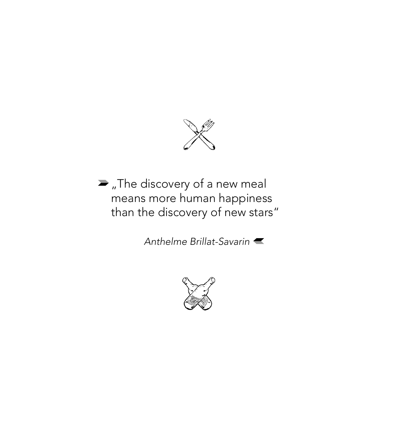

 $\blacktriangleright$  "The discovery of a new meal means more human happiness than the discovery of new stars"

*Anthelme Brillat-Savarin*

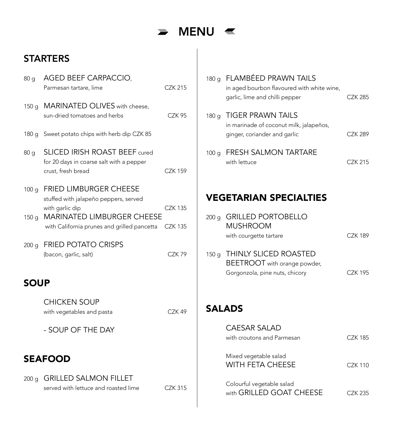

### **STARTERS**

| 80 <sub>g</sub>                      | AGED BEEF CARPACCIO,<br>Parmesan tartare, lime                                                                                                                         | <b>CZK 215</b>                   |
|--------------------------------------|------------------------------------------------------------------------------------------------------------------------------------------------------------------------|----------------------------------|
| 150 <sub>g</sub>                     | MARINATED OLIVES with cheese,<br>sun-dried tomatoes and herbs                                                                                                          | CZK 95                           |
| 180 g                                | Sweet potato chips with herb dip CZK 85                                                                                                                                |                                  |
| 80 <sub>q</sub>                      | SLICED IRISH ROAST BEEF cured<br>for 20 days in coarse salt with a pepper<br>crust, fresh bread                                                                        | <b>CZK 159</b>                   |
| 100 <sub>g</sub><br>150 <sub>g</sub> | FRIED LIMBURGER CHEESE<br>stuffed with jalapeño peppers, served<br>with garlic dip<br><b>MARINATED LIMBURGER CHEESE</b><br>with California prunes and grilled pancetta | <b>CZK 135</b><br><b>CZK 135</b> |
| 200 <sub>g</sub>                     | <b>FRIED POTATO CRISPS</b><br>(bacon, garlic, salt)                                                                                                                    | CZK79                            |
| <b>SOUP</b>                          |                                                                                                                                                                        |                                  |
|                                      | <b>CHICKEN SOUP</b><br>with vegetables and pasta                                                                                                                       | CZK 49                           |
|                                      | - SOUP OF THE DAY                                                                                                                                                      |                                  |
|                                      | <b>SEAFOOD</b>                                                                                                                                                         |                                  |
| 200 <sub>g</sub>                     | <b>GRILLED SALMON FILLET</b><br>served with lettuce and roasted lime                                                                                                   | <b>CZK 315</b>                   |

|                  | 180 g FLAMBEED PRAWN TAILS<br>in aged bourbon flavoured with white wine,<br>garlic, lime and chilli pepper | CZK 285 |
|------------------|------------------------------------------------------------------------------------------------------------|---------|
| 180g             | <b>TIGER PRAWN TAILS</b><br>in marinade of coconut milk, jalapeños,<br>ginger, coriander and garlic        | CZK 289 |
| 100 g            | <b>FRESH SALMON TARTARE</b><br>with lettuce                                                                | CZK 215 |
|                  | <b>VEGETARIAN SPECIALTIES</b>                                                                              |         |
| 200 <sub>q</sub> | <b>GRILLED PORTOBELLO</b><br>MUSHROOM                                                                      |         |

| 150 g THINLY SLICED ROASTED<br>BEETROOT with orange powder, |          |
|-------------------------------------------------------------|----------|
| Gorgonzola, pine nuts, chicory                              | C.7K 195 |

with courgette tartare CZK 189

**SALADS** 

| CAESAR SALAD                                          |          |
|-------------------------------------------------------|----------|
| with croutons and Parmesan                            | C.7K 185 |
| Mixed vegetable salad<br><b>WITH FETA CHEESE</b>      | C.7K 110 |
|                                                       |          |
| Colourful vegetable salad<br>with GRILLED GOAT CHEESE | CZK 235  |
|                                                       |          |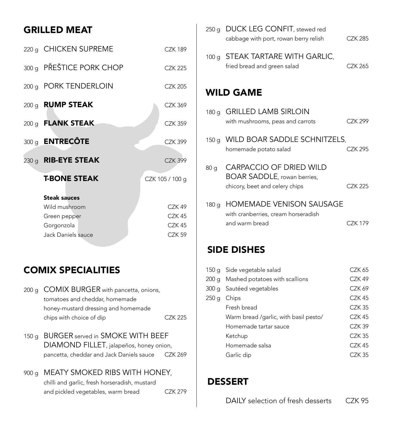### Grilled meat

| 220 g CHICKEN SUPREME    | C.7K 189          |
|--------------------------|-------------------|
| 300 g PŘEŠTICE PORK CHOP | <b>CZK 225</b>    |
| 200 g PORK TENDERLOIN    | <b>CZK 205</b>    |
| 200 g RUMP STEAK         | <b>CZK 369</b>    |
| 200 g <b>FLANK STEAK</b> | <b>CZK 359</b>    |
| 300 g <b>ENTRECÔTE</b>   | <b>CZK 399</b>    |
| 230 g RIB-EYE STEAK      | <b>CZK 399</b>    |
| <b>T-BONE STEAK</b>      | CZK 105 / 100 g   |
| <b>Steak sauces</b>      |                   |
| Wild mushroom            | CZK <sub>49</sub> |
| Green pepper             | CZK 45            |
| Gorgonzola               | CZK 45            |
| Jack Daniels sauce       | CZK 59            |

### Comix specialities

- 200 g COMIX BURGER with pancetta, onions, tomatoes and cheddar, homemade honey-mustard dressing and homemade chips with choice of dip CZK 225
- 150 g BURGER served in SMOKE WITH BEEF DIAMOND FILLET, jalapeños, honey onion, pancetta, cheddar and Jack Daniels sauce CZK 269

# 900 g MEATY SMOKED RIBS WITH HONEY,

chilli and garlic, fresh horseradish, mustard and pickled vegetables, warm bread CZK 279

|                 | 250 g DUCK LEG CONFIT, stewed red<br>cabbage with port, rowan berry relish                              | <b>CZK 285</b> |
|-----------------|---------------------------------------------------------------------------------------------------------|----------------|
|                 | 100 g STEAK TARTARE WITH GARLIC,<br>fried bread and green salad                                         | CZK 265        |
|                 | <b>WILD GAME</b>                                                                                        |                |
|                 | 180 g GRILLED LAMB SIRLOIN<br>with mushrooms, peas and carrots                                          | C.7K 299       |
| 150g            | WILD BOAR SADDLE SCHNITZELS,<br>homemade potato salad                                                   | <b>CZK 295</b> |
| 80 <sub>g</sub> | <b>CARPACCIO OF DRIED WILD</b><br><b>BOAR SADDLE</b> , rowan berries,<br>chicory, beet and celery chips | CZK 225        |
| 180g            | HOMEMADE VENISON SAUSAGE<br>with cranberries, cream horseradish<br>and warm bread                       | <b>CZK 179</b> |

### Side dishes

|       | 150 g Side vegetable salad            | CZK 65   |
|-------|---------------------------------------|----------|
|       | 200 g Mashed potatoes with scallions  | CZK 49   |
|       | 300 g Sautéed vegetables              | CZK 69   |
| 250 g | Chips                                 | CZK 45   |
|       | Fresh bread                           | $CZK$ 35 |
|       | Warm bread /qarlic, with basil pesto/ | CZK 45   |
|       | Homemade tartar sauce                 | CZK 39   |
|       | Ketchup                               | CZK 35   |
|       | Homemade salsa                        | CZK 45   |
|       | Garlic dip                            | CZK 35   |

### **DESSERT**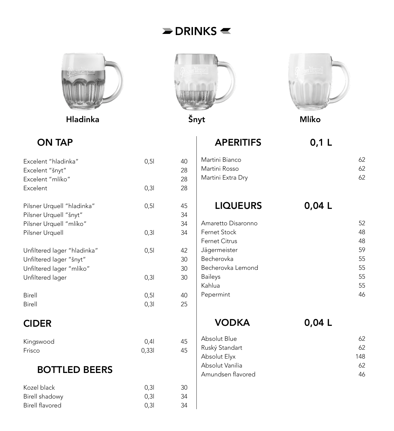# $\blacktriangleright$  DRINKS  $\blacktriangleleft$



Hladinka Šnyt Mlíko





# ON TAP

| Excelent "hladinka"         | 0,51  | 40 |
|-----------------------------|-------|----|
| Excelent "šnyt"             |       | 28 |
| Excelent "mlíko"            |       | 28 |
| Excelent                    | 0,31  | 28 |
| Pilsner Urquell "hladinka"  | 0,51  | 45 |
| Pilsner Urquell "šnyt"      |       | 34 |
| Pilsner Urquell "mlíko"     |       | 34 |
| Pilsner Urquell             | 0, 31 | 34 |
| Unfiltered lager "hladinka" | 0,51  | 42 |
| Unfiltered lager "šnyt"     |       | 30 |
| Unfiltered lager "mlíko"    |       | 30 |
| Unfiltered lager            | 0, 31 | 30 |
| Birell                      | 0,51  | 40 |
| <b>Birell</b>               | 0,31  | 25 |
| <b>CIDER</b>                |       |    |

| Kingswood | 0.41  | 45 |
|-----------|-------|----|
| Frisco    | 0,331 | 45 |

## BOTTLED BEERS

| Kozel black     | 0.31 | 30 |
|-----------------|------|----|
| Birell shadowy  | 0.31 | 34 |
| Birell flavored | 0.31 | 34 |

| <b>APERITIFS</b>  | 0,1 L |
|-------------------|-------|
| Martini Bianco    | 62    |
| Martini Rosso     | 62    |
| Martini Extra Dry | 62    |

LIQUEURS 0,04 L

| U,U4 |  |  |
|------|--|--|
|      |  |  |

| Amaretto Disaronno   | 52 |
|----------------------|----|
| Fernet Stock         | 48 |
| <b>Fernet Citrus</b> | 48 |
| Jägermeister         | 59 |
| Becherovka           | 55 |
| Becherovka Lemond    | 55 |
| <b>Baileys</b>       | 55 |
| Kahlua               | 55 |
| Pepermint            | 46 |
|                      |    |

VODKA 0,04 L

| Absolut Blue      | 62. |
|-------------------|-----|
| Ruský Standart    | 62. |
| Absolut Elyx      | 148 |
| Absolut Vanilia   | 62. |
| Amundsen flavored | 46. |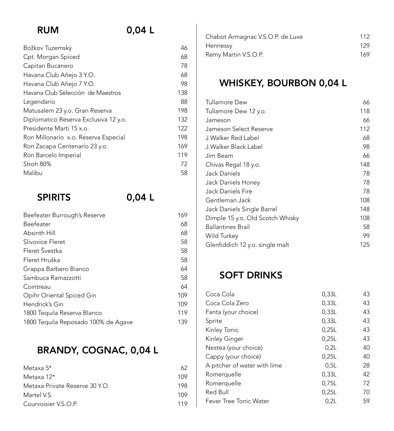# RUM 0,04 l

| Božkov Tuzemský                       | 46  |
|---------------------------------------|-----|
| Cpt. Morgan Spiced                    | 68  |
| Capitan Bucanero                      | 78  |
| Havana Club Aňejo 3 Y.O.              | 68  |
| Havana Club Aňejo 7 Y.O.              | 98  |
| Havana Club Selección de Maestros     | 138 |
| Legendario                            | 88  |
| Matusalem 23 y.o. Gran Reserva        | 198 |
| Diplomatico Reserva Exclusiva 12 y.o. | 132 |
| Presidente Marti 15 x.o.              | 122 |
| Ron Millonario x.o. Reserva Especial  | 198 |
| Ron Zacapa Centenario 23 y.o.         | 169 |
| Ron Barcelo Imperial                  | 119 |
| Stroh 80%                             | 72  |
| Malibu                                | 58  |
|                                       |     |

# SPIRITS 0,04 L

| Beefeater Burrough's Reserve        | 169 |
|-------------------------------------|-----|
| Beefeater                           | 68  |
| Absinth Hill                        | 68  |
| Slivovice Fleret                    | 58  |
| Fleret Švestka                      | 58  |
| Fleret Hruška                       | 58  |
| Grappa Barbero Bianco               | 64  |
| Sambuca Ramazzotti                  | 58  |
| Cointreau                           | 64  |
| Opihr Oriental Spiced Gin           | 109 |
| Hendrick's Gin                      | 109 |
| 1800 Tequila Reserva Blanco         | 119 |
| 1800 Tequila Reposado 100% de Agave | 139 |
|                                     |     |

# BRANDY, COGNAC, 0,04 L

| Metaxa 5*                      | 62  |
|--------------------------------|-----|
| Metaxa 12*                     | 109 |
| Metaxa Private Reserve 30 Y.O. | 198 |
| Martel V.S.                    | 109 |
| Courvoisier V.S.O.P.           | 119 |

| Chabot Armagnac V.S.O.P. de Luxe | 112 |
|----------------------------------|-----|
| Hennessy                         | 129 |
| Remy Martin V.S.O.P.             | 169 |

# WHISKEY, BOURBON 0,04 L

| Tullamore Dew                    | 66  |
|----------------------------------|-----|
| Tullamore Dew 12 y.o.            | 118 |
| Jameson                          | 66  |
| Jameson Select Reserve           | 112 |
| J.Walker Red Label               | 68  |
| J.Walker Black Label             | 98  |
| Jim Beam                         | 66  |
| Chivas Regal 18 y.o.             | 148 |
| Jack Daniels                     | 78  |
| Jack Daniels Honey               | 78  |
| Jack Daniels Fire                | 78  |
| Gentleman Jack                   | 108 |
| Jack Daniels Single Barrel       | 148 |
| Dimple 15 y.o. Old Scotch Whisky | 108 |
| <b>Ballantines Brail</b>         | 58  |
| Wild Turkey                      | 99  |
| Glenfiddich 12 y.o. single malt  | 125 |

### SOFT DRINKS

| 0,33L | 43    |
|-------|-------|
| 0,33L | 43    |
| 0,33L | 43    |
| 0,25L | 43    |
| 0,25L | 43    |
| 0.2L  | 40    |
| 0,25L | 40    |
| 0.5L  | 28    |
| 0,33L | 42    |
| 0,75L | 72    |
| 0,25L | 70    |
| 0.2L  | 59    |
|       | 0,33L |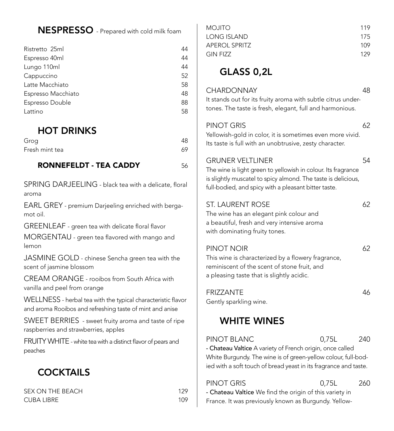### NESPRESSO - Prepared with cold milk foam

| Ristretto 25ml     | 44 |
|--------------------|----|
| Espresso 40ml      | 44 |
| Lungo 110ml        | 44 |
| Cappuccino         | 52 |
| Latte Macchiato    | 58 |
| Espresso Macchiato | 48 |
| Espresso Double    | 88 |
| Lattino            | 58 |
|                    |    |

### HOT DRINKS

| Grog           | 48 |
|----------------|----|
| Fresh mint tea | 69 |

#### RONNEFELDT - TEA CADDY 56

SPRING DARJEELING - black tea with a delicate, floral aroma

EARL GREY - premium Darjeeling enriched with bergamot oil.

GREENLEAF - green tea with delicate floral flavor MORGENTAU - green tea flavored with mango and

lemon

JASMINE GOLD - chinese Sencha green tea with the scent of jasmine blossom

CREAM ORANGE - rooibos from South Africa with vanilla and peel from orange

WELLNESS - herbal tea with the typical characteristic flavor and aroma Rooibos and refreshing taste of mint and anise

SWEET BERRIES - sweet fruity aroma and taste of ripe raspberries and strawberries, apples

FRUITY WHITE - white tea with a distinct flavor of pears and peaches

### **COCKTAILS**

| SEX ON THE BEACH  | 129 |
|-------------------|-----|
| <b>CUBA LIBRE</b> | 109 |

| MOJITO        | 119 |
|---------------|-----|
| LONG ISLAND   | 175 |
| APEROL SPRITZ | 109 |
| GIN FIZZ      | 129 |

### glass 0,2L

#### CHARDONNAY 48

It stands out for its fruity aroma with subtle citrus undertones. The taste is fresh, elegant, full and harmonious.

#### PINOT GRIS 62

Yellowish-gold in color, it is sometimes even more vivid. Its taste is full with an unobtrusive, zesty character.

#### Gruner Veltliner 54

The wine is light green to yellowish in colour. Its fragrance is slightly muscatel to spicy almond. The taste is delicious, full-bodied, and spicy with a pleasant bitter taste.

#### ST. LAURENT ROSE 62

The wine has an elegant pink colour and a beautiful, fresh and very intensive aroma with dominating fruity tones.

#### PINOT NOIR 62

This wine is characterized by a flowery fragrance, reminiscent of the scent of stone fruit, and a pleasing taste that is slightly acidic.

| <b>FRIZZANTE</b>       | 46 |
|------------------------|----|
| Gently sparkling wine. |    |

### **WHITE WINES**

PINOT BLANC 0.75L 240

- Chateau Valtice A variety of French origin, once called White Burgundy. The wine is of green-yellow colour, full-bodied with a soft touch of bread yeast in its fragrance and taste.

PINOT GRIS **0.75L** 260 - Chateau Valtice We find the origin of this variety in France. It was previously known as Burgundy. Yellow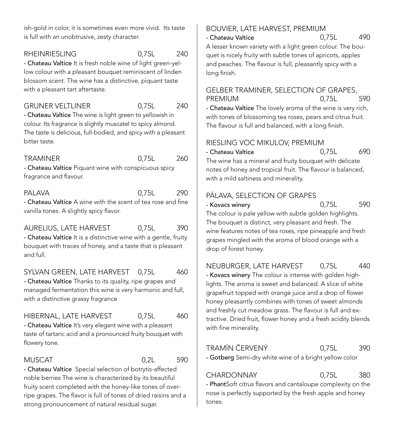ish-gold in color, it is sometimes even more vivid. Its taste is full with an unobtrusive, zesty character.

#### RHEINRIESLING 0.75L 240

- Chateau Valtice It is fresh noble wine of light green-yellow colour with a pleasant bouquet reminiscent of linden blossom scent. The wine has a distinctive, piquant taste with a pleasant tart aftertaste.

#### Gruner Veltliner 0,75L 240

- Chateau Valtice The wine is light green to yellowish in colour. Its fragrance is slightly muscatel to spicy almond. The taste is delicious, full-bodied, and spicy with a pleasant bitter taste.

#### Traminer 0,75L 260

- Chateau Valtice Piquant wine with conspicuous spicy fragrance and flavour.

### Palava 0,75L 290

- Chateau Valtice A wine with the scent of tea rose and fine vanilla tones. A slightly spicy flavor.

#### AURELIUS, LATE HARVEST 0,75L 390

- Chateau Valtice It is a distinctive wine with a gentle, fruity bouquet with traces of honey, and a taste that is pleasant and full.

#### SYLVAN GREEN, LATE HARVEST 0,75L 460

- Chateau Valtice Thanks to its quality, ripe grapes and managed fermentation this wine is very harmonic and full, with a distinctive grassy fragrance

#### HIBERNAL, LATE HARVEST 0,75L 460

- Chateau Valtice It's very elegant wine with a pleasant taste of tartaric acid and a pronounced fruity bouquet with flowery tone.

#### Muscat 0,2L 590

- Chateau Valtice Special selection of botrytis-affected noble berries The wine is characterized by its beautiful fruity scent completed with the honey-like tones of overripe grapes. The flavor is full of tones of dried raisins and a strong pronouncement of natural residual sugar.

#### Bouvier, late harvest, Premium - Chateau Valtice 0,75L 490

A lesser known variety with a light green colour. The bouquet is nicely fruity with subtle tones of apricots, apples and peaches. The flavour is full, pleasantly spicy with a long finish.

### Gelber Traminer, selection of grapes, PREMIUM 0.75L 590

- Chateau Valtice The lovely aroma of the wine is very rich, with tones of blossoming tea roses, pears and citrus fruit. The flavour is full and balanced, with a long finish.

#### Riesling VOC Mikulov, Premium

- Chateau Valtice 690 The wine has a mineral and fruity bouquet with delicate notes of honey and tropical fruit. The flavour is balanced,

### Pálava, selection of grapes

with a mild saltiness and minerality.

- Kovacs winery 6,75L 590

The colour is pale yellow with subtle golden highlights. The bouquet is distinct, very pleasant and fresh. The wine features notes of tea roses, ripe pineapple and fresh grapes mingled with the aroma of blood orange with a drop of forest honey.

### Neuburger, late harvest 0,75L 440

- Kovacs winery The colour is intense with golden highlights. The aroma is sweet and balanced. A slice of white grapefruit topped with orange juice and a drop of flower honey pleasantly combines with tones of sweet almonds and freshly cut meadow grass. The flavour is full and extractive. Dried fruit, flower honey and a fresh acidity blends with fine minerality.

### Tramín Červený 0,75L 390

- Gotberg Semi-dry white wine of a bright yellow color

### Chardonnay 0,75L 380

- PhantSoft citrus flavors and cantaloupe complexity on the nose is perfectly supported by the fresh apple and honey tones.